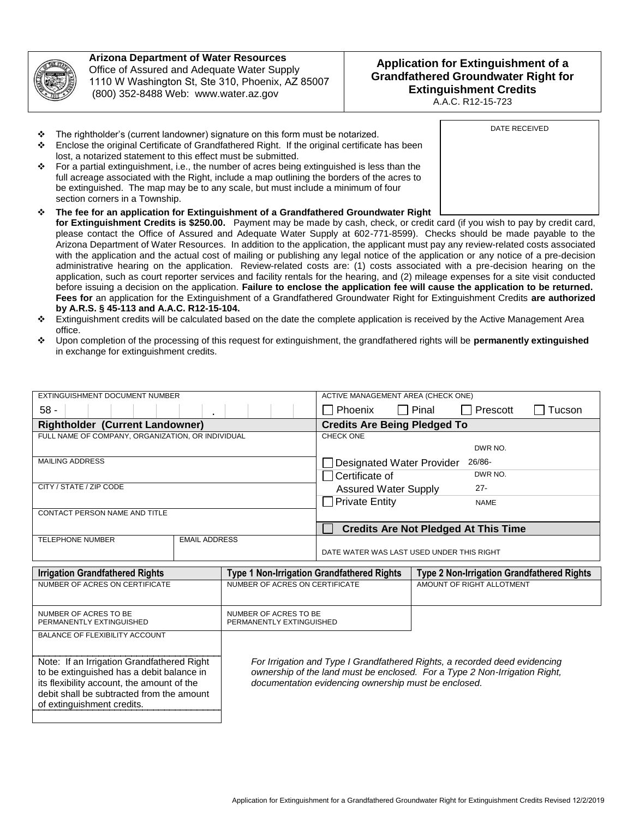

## **Arizona Department of Water Resources**  Office of Assured and Adequate Water Supply 1110 W Washington St, Ste 310, Phoenix, AZ 85007 (800) 352-8488 Web: www.water.az.gov

## **Application for Extinguishment of a Grandfathered Groundwater Right for Extinguishment Credits**

A.A.C. R12-15-723

- \* The rightholder's (current landowner) signature on this form must be notarized.
- Enclose the original Certificate of Grandfathered Right. If the original certificate has been lost, a notarized statement to this effect must be submitted.
- For a partial extinguishment, i.e., the number of acres being extinguished is less than the full acreage associated with the Right, include a map outlining the borders of the acres to be extinguished. The map may be to any scale, but must include a minimum of four section corners in a Township.
- **The fee for an application for Extinguishment of a Grandfathered Groundwater Right for Extinguishment Credits is \$250.00.** Payment may be made by cash, check, or credit card (if you wish to pay by credit card, please contact the Office of Assured and Adequate Water Supply at 602-771-8599). Checks should be made payable to the Arizona Department of Water Resources. In addition to the application, the applicant must pay any review-related costs associated with the application and the actual cost of mailing or publishing any legal notice of the application or any notice of a pre-decision administrative hearing on the application. Review-related costs are: (1) costs associated with a pre-decision hearing on the application, such as court reporter services and facility rentals for the hearing, and (2) mileage expenses for a site visit conducted before issuing a decision on the application. **Failure to enclose the application fee will cause the application to be returned. Fees for** an application for the Extinguishment of a Grandfathered Groundwater Right for Extinguishment Credits **are authorized by A.R.S. § 45-113 and A.A.C. R12-15-104.**
- Extinguishment credits will be calculated based on the date the complete application is received by the Active Management Area office.
- Upon completion of the processing of this request for extinguishment, the grandfathered rights will be **permanently extinguished** in exchange for extinguishment credits.

| EXTINGUISHMENT DOCUMENT NUMBER                    |                      | ACTIVE MANAGEMENT AREA (CHECK ONE)          |  |  |
|---------------------------------------------------|----------------------|---------------------------------------------|--|--|
| $58 -$                                            |                      | Pinal<br>Prescott<br>Phoenix<br>Tucson      |  |  |
| <b>Rightholder (Current Landowner)</b>            |                      | <b>Credits Are Being Pledged To</b>         |  |  |
| FULL NAME OF COMPANY, ORGANIZATION, OR INDIVIDUAL |                      | <b>CHECK ONE</b>                            |  |  |
|                                                   |                      | DWR NO.                                     |  |  |
| <b>MAILING ADDRESS</b>                            |                      | 26/86-<br><b>Designated Water Provider</b>  |  |  |
|                                                   |                      | DWR NO.<br>Certificate of                   |  |  |
| CITY / STATE / ZIP CODE                           |                      | $27 -$<br><b>Assured Water Supply</b>       |  |  |
|                                                   |                      | <b>Private Entity</b><br><b>NAME</b>        |  |  |
| CONTACT PERSON NAME AND TITLE                     |                      |                                             |  |  |
|                                                   |                      | <b>Credits Are Not Pledged At This Time</b> |  |  |
| <b>TELEPHONE NUMBER</b>                           | <b>EMAIL ADDRESS</b> |                                             |  |  |
|                                                   |                      | DATE WATER WAS LAST USED UNDER THIS RIGHT   |  |  |
| $\sim$ $\sim$<br>.                                |                      |                                             |  |  |

| <b>Irrigation Grandfathered Rights</b>                                                                                                                                                                                                                    | <b>Type 1 Non-Irrigation Grandfathered Rights</b>                                                                                                                                                                | Type 2 Non-Irrigation Grandfathered Rights |
|-----------------------------------------------------------------------------------------------------------------------------------------------------------------------------------------------------------------------------------------------------------|------------------------------------------------------------------------------------------------------------------------------------------------------------------------------------------------------------------|--------------------------------------------|
| NUMBER OF ACRES ON CERTIFICATE                                                                                                                                                                                                                            | NUMBER OF ACRES ON CERTIFICATE                                                                                                                                                                                   | AMOUNT OF RIGHT ALLOTMENT                  |
| NUMBER OF ACRES TO BE<br>PERMANENTLY EXTINGUISHED                                                                                                                                                                                                         | NUMBER OF ACRES TO BE<br>PERMANENTLY EXTINGUISHED                                                                                                                                                                |                                            |
| <b>BALANCE OF FLEXIBILITY ACCOUNT</b><br>Note: If an Irrigation Grandfathered Right<br>to be extinguished has a debit balance in<br>its flexibility account, the amount of the<br>debit shall be subtracted from the amount<br>of extinguishment credits. | For Irrigation and Type I Grandfathered Rights, a recorded deed evidencing<br>ownership of the land must be enclosed. For a Type 2 Non-Irrigation Right,<br>documentation evidencing ownership must be enclosed. |                                            |

DATE RECEIVED